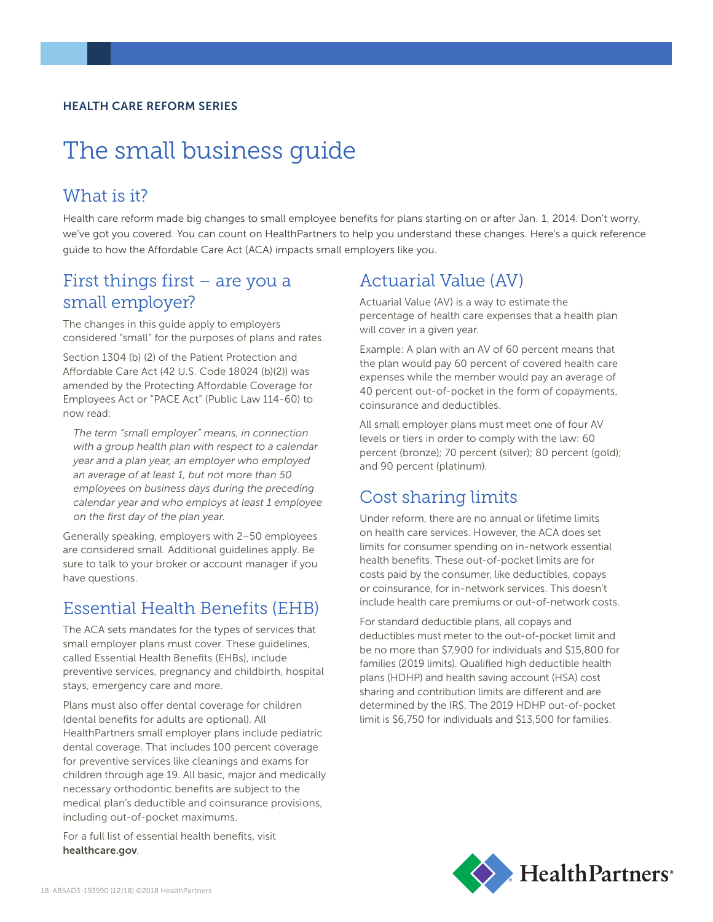#### HEALTH CARE REFORM SERIES

# The small business guide

#### What is it?

Health care reform made big changes to small employee benefits for plans starting on or after Jan. 1, 2014. Don't worry, we've got you covered. You can count on HealthPartners to help you understand these changes. Here's a quick reference guide to how the Affordable Care Act (ACA) impacts small employers like you.

#### First things first – are you a small employer?

The changes in this guide apply to employers considered "small" for the purposes of plans and rates.

Section 1304 (b) (2) of the Patient Protection and Affordable Care Act (42 U.S. Code 18024 (b)(2)) was amended by the Protecting Affordable Coverage for Employees Act or "PACE Act" (Public Law 114-60) to now read:

*The term "small employer" means, in connection with a group health plan with respect to a calendar year and a plan year, an employer who employed an average of at least 1, but not more than 50 employees on business days during the preceding calendar year and who employs at least 1 employee on the first day of the plan year.*

Generally speaking, employers with 2–50 employees are considered small. Additional guidelines apply. Be sure to talk to your broker or account manager if you have questions.

#### Essential Health Benefits (EHB)

The ACA sets mandates for the types of services that small employer plans must cover. These guidelines, called Essential Health Benefits (EHBs), include preventive services, pregnancy and childbirth, hospital stays, emergency care and more.

Plans must also offer dental coverage for children (dental benefits for adults are optional). All HealthPartners small employer plans include pediatric dental coverage. That includes 100 percent coverage for preventive services like cleanings and exams for children through age 19. All basic, major and medically necessary orthodontic benefits are subject to the medical plan's deductible and coinsurance provisions, including out-of-pocket maximums.

For a full list of essential health benefits, visit healthcare.gov.

#### Actuarial Value (AV)

Actuarial Value (AV) is a way to estimate the percentage of health care expenses that a health plan will cover in a given year.

Example: A plan with an AV of 60 percent means that the plan would pay 60 percent of covered health care expenses while the member would pay an average of 40 percent out-of-pocket in the form of copayments, coinsurance and deductibles.

All small employer plans must meet one of four AV levels or tiers in order to comply with the law: 60 percent (bronze); 70 percent (silver); 80 percent (gold); and 90 percent (platinum).

#### Cost sharing limits

Under reform, there are no annual or lifetime limits on health care services. However, the ACA does set limits for consumer spending on in-network essential health benefits. These out-of-pocket limits are for costs paid by the consumer, like deductibles, copays or coinsurance, for in-network services. This doesn't include health care premiums or out-of-network costs.

For standard deductible plans, all copays and deductibles must meter to the out-of-pocket limit and be no more than \$7,900 for individuals and \$15,800 for families (2019 limits). Qualified high deductible health plans (HDHP) and health saving account (HSA) cost sharing and contribution limits are different and are determined by the IRS. The 2019 HDHP out-of-pocket limit is \$6,750 for individuals and \$13,500 for families.